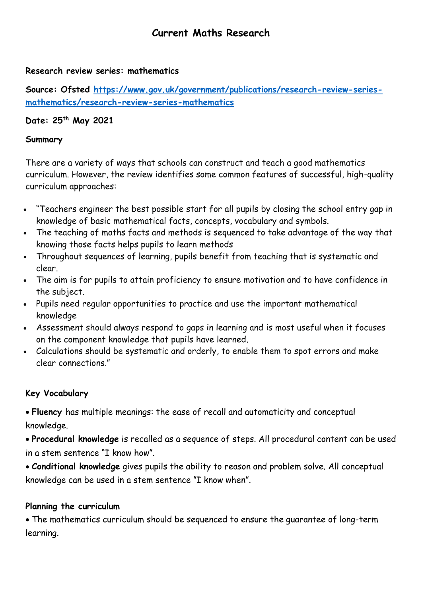# **Current Maths Research**

#### **Research review series: mathematics**

**Source: Ofsted [https://www.gov.uk/government/publications/research-review-series](https://www.gov.uk/government/publications/research-review-series-mathematics/research-review-series-mathematics)[mathematics/research-review-series-mathematics](https://www.gov.uk/government/publications/research-review-series-mathematics/research-review-series-mathematics)**

# **Date: 25th May 2021**

#### **Summary**

There are a variety of ways that schools can construct and teach a good mathematics curriculum. However, the review identifies some common features of successful, high-quality curriculum approaches:

- "Teachers engineer the best possible start for all pupils by closing the school entry gap in knowledge of basic mathematical facts, concepts, vocabulary and symbols.
- The teaching of maths facts and methods is sequenced to take advantage of the way that knowing those facts helps pupils to learn methods
- Throughout sequences of learning, pupils benefit from teaching that is systematic and clear.
- The aim is for pupils to attain proficiency to ensure motivation and to have confidence in the subject.
- Pupils need regular opportunities to practice and use the important mathematical knowledge
- Assessment should always respond to gaps in learning and is most useful when it focuses on the component knowledge that pupils have learned.
- Calculations should be systematic and orderly, to enable them to spot errors and make clear connections."

#### **Key Vocabulary**

 **Fluency** has multiple meanings: the ease of recall and automaticity and conceptual knowledge.

 **Procedural knowledge** is recalled as a sequence of steps. All procedural content can be used in a stem sentence "I know how".

 **Conditional knowledge** gives pupils the ability to reason and problem solve. All conceptual knowledge can be used in a stem sentence "I know when".

#### **Planning the curriculum**

 The mathematics curriculum should be sequenced to ensure the guarantee of long-term learning.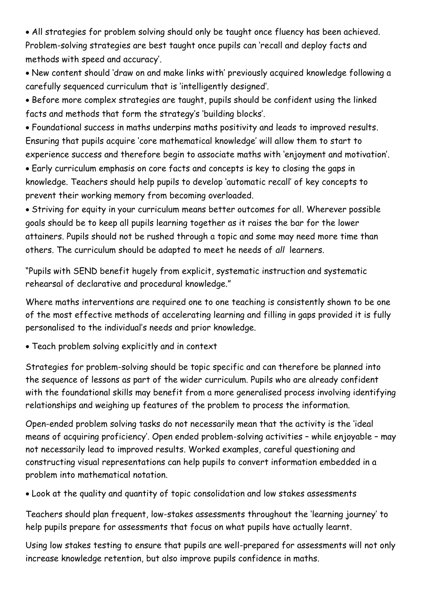All strategies for problem solving should only be taught once fluency has been achieved. Problem-solving strategies are best taught once pupils can 'recall and deploy facts and methods with speed and accuracy'.

 New content should 'draw on and make links with' previously acquired knowledge following a carefully sequenced curriculum that is 'intelligently designed'.

 Before more complex strategies are taught, pupils should be confident using the linked facts and methods that form the strategy's 'building blocks'.

 Foundational success in maths underpins maths positivity and leads to improved results. Ensuring that pupils acquire 'core mathematical knowledge' will allow them to start to experience success and therefore begin to associate maths with 'enjoyment and motivation'.

 Early curriculum emphasis on core facts and concepts is key to closing the gaps in knowledge. Teachers should help pupils to develop 'automatic recall' of key concepts to prevent their working memory from becoming overloaded.

 Striving for equity in your curriculum means better outcomes for all. Wherever possible goals should be to keep all pupils learning together as it raises the bar for the lower attainers. Pupils should not be rushed through a topic and some may need more time than others. The curriculum should be adapted to meet he needs of *all* learners.

"Pupils with SEND benefit hugely from explicit, systematic instruction and systematic rehearsal of declarative and procedural knowledge."

Where maths interventions are required one to one teaching is consistently shown to be one of the most effective methods of accelerating learning and filling in gaps provided it is fully personalised to the individual's needs and prior knowledge.

Teach problem solving explicitly and in context

Strategies for problem-solving should be topic specific and can therefore be planned into the sequence of lessons as part of the wider curriculum. Pupils who are already confident with the foundational skills may benefit from a more generalised process involving identifying relationships and weighing up features of the problem to process the information.

Open-ended problem solving tasks do not necessarily mean that the activity is the 'ideal means of acquiring proficiency'. Open ended problem-solving activities – while enjoyable – may not necessarily lead to improved results. Worked examples, careful questioning and constructing visual representations can help pupils to convert information embedded in a problem into mathematical notation.

Look at the quality and quantity of topic consolidation and low stakes assessments

Teachers should plan frequent, low-stakes assessments throughout the 'learning journey' to help pupils prepare for assessments that focus on what pupils have actually learnt.

Using low stakes testing to ensure that pupils are well-prepared for assessments will not only increase knowledge retention, but also improve pupils confidence in maths.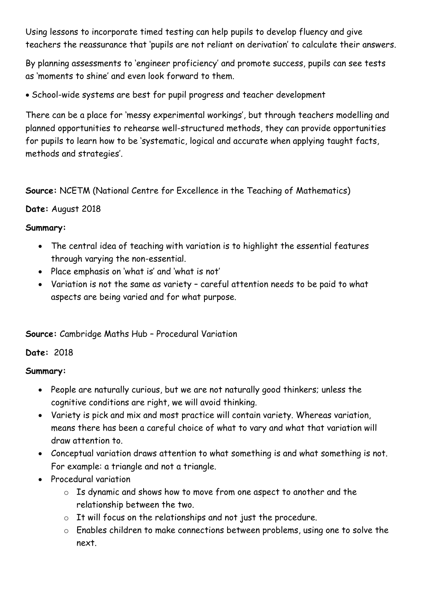Using lessons to incorporate timed testing can help pupils to develop fluency and give teachers the reassurance that 'pupils are not reliant on derivation' to calculate their answers.

By planning assessments to 'engineer proficiency' and promote success, pupils can see tests as 'moments to shine' and even look forward to them.

School-wide systems are best for pupil progress and teacher development

There can be a place for 'messy experimental workings', but through teachers modelling and planned opportunities to rehearse well-structured methods, they can provide opportunities for pupils to learn how to be 'systematic, logical and accurate when applying taught facts, methods and strategies'.

**Source:** NCETM (National Centre for Excellence in the Teaching of Mathematics)

# **Date:** August 2018

### **Summary:**

- The central idea of teaching with variation is to highlight the essential features through varying the non-essential.
- Place emphasis on 'what is' and 'what is not'
- Variation is not the same as variety careful attention needs to be paid to what aspects are being varied and for what purpose.

# **Source:** Cambridge Maths Hub – Procedural Variation

#### **Date:** 2018

# **Summary:**

- People are naturally curious, but we are not naturally good thinkers; unless the cognitive conditions are right, we will avoid thinking.
- Variety is pick and mix and most practice will contain variety. Whereas variation, means there has been a careful choice of what to vary and what that variation will draw attention to.
- Conceptual variation draws attention to what something is and what something is not. For example: a triangle and not a triangle.
- Procedural variation
	- o Is dynamic and shows how to move from one aspect to another and the relationship between the two.
	- o It will focus on the relationships and not just the procedure.
	- o Enables children to make connections between problems, using one to solve the next.